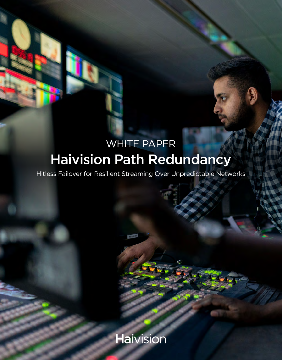## Haivision Path Redundancy WHITE PAPER

Hitless Failover for Resilient Streaming Over Unpredictable Networks

**Haivision**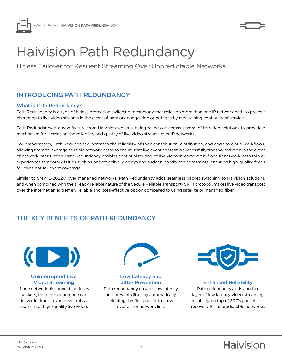



# Haivision Path Redundancy

Hitless Failover for Resilient Streaming Over Unpredictable Networks

## INTRODUCING PATH REDUNDANCY

#### What is Path Redundancy?

Path Redundancy is a type of hitless protection switching technology that relies on more than one IP network path to prevent disruption to live video streams in the event of network congestion or outages by maintaining continuity of service.

Path Redundancy is a new feature from Haivision which is being rolled out across several of its video solutions to provide a mechanism for increasing the reliability and quality of live video streams over IP networks.

For broadcasters, Path Redundancy increases the reliability of their contribution, distribution, and edge to cloud workflows, allowing them to leverage multiple network paths to ensure that live event content is successfully transported even in the event of network interruption. Path Redundancy enables continual routing of live video streams even if one IP network path fails or experiences temporary issues such as packet delivery delays and sudden bandwidth constraints, ensuring high-quality feeds for must-not-fail event coverage.

Similar to SMPTE-2022-7 over managed networks, Path Redundancy adds seamless packet switching to Haivision solutions, and when combined with the already reliable nature of the Secure Reliable Transport (SRT) protocol, makes live video transport over the internet an extremely reliable and cost-effective option compared to using satellite or managed fiber.

## THE KEY BENEFITS OF PATH REDUNDANCY



#### Uninterrupted Live Video Streaming

If one network disconnects or loses packets, then the second one can deliver in time, so you never miss a moment of high-quality live video.



Low Latency and Jitter Prevention

Path redundancy ensures low latency and prevents jitter by automatically selecting the first packet to arrive over either network link.



#### Enhanced Reliability

Path redundancy adds another layer of low latency video streaming reliability on top of SRT's packet loss recovery for unpredictable networks.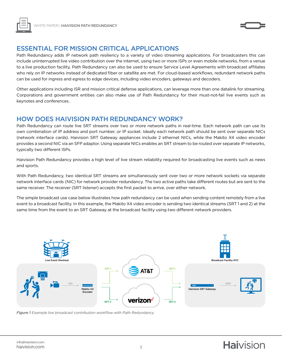



## ESSENTIAL FOR MISSION CRITICAL APPLICATIONS

Path Redundancy adds IP network path resiliency to a variety of video streaming applications. For broadcasters this can include uninterrupted live video contribution over the internet, using two or more ISPs or even mobile networks, from a venue to a live production facility. Path Redundancy can also be used to ensure Service Level Agreements with broadcast affiliates who rely on IP networks instead of dedicated fiber or satellite are met. For cloud-based workflows, redundant network paths can be used for ingress and egress to edge devices, including video encoders, gateways and decoders.

Other applications including ISR and mission critical defense applications, can leverage more than one datalink for streaming. Corporations and government entities can also make use of Path Redundancy for their must-not-fail live events such as keynotes and conferences.

#### HOW DOES HAIVISION PATH REDUNDANCY WORK?

Path Redundancy can route live SRT streams over two or more network paths in real-time. Each network path can use its own combination of IP address and port number, or IP socket. Ideally each network path should be sent over separate NICs (network interface cards). Haivision SRT Gateway appliances include 2 ethernet NICs, while the Makito X4 video encoder provides a second NIC via an SFP adaptor. Using separate NICs enables an SRT stream to be routed over separate IP networks, typically two different ISPs.

Haivision Path Redundancy provides a high level of live stream reliability required for broadcasting live events such as news and sports.

With Path Redundancy, two identical SRT streams are simultaneously sent over two or more network sockets via separate network interface cards (NIC) for network provider redundancy. The two active paths take different routes but are sent to the same receiver. The receiver (SRT listener) accepts the first packet to arrive, over either network.

The simple broadcast use case below illustrates how path redundancy can be used when sending content remotely from a live event to a broadcast facility. In this example, the Makito X4 video encoder is sending two identical streams (SRT 1 and 2) at the same time from the event to an SRT Gateway at the broadcast facility using two different network providers.



*Figure 1 Example live broadcast contribution workflow with Path Redundancy*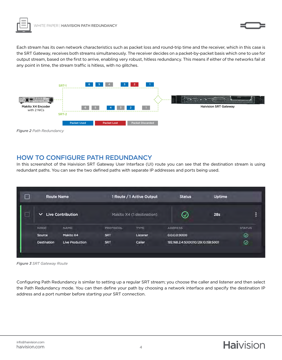

Each stream has its own network characteristics such as packet loss and round-trip time and the receiver, which in this case is the SRT Gateway, receives both streams simultaneously. The receiver decides on a packet-by-packet basis which one to use for output stream, based on the first to arrive, enabling very robust, hitless redundancy. This means if either of the networks fail at any point in time, the stream traffic is hitless, with no glitches.



*Figure 2 Path Redundancy*

## HOW TO CONFIGURE PATH REDUNDANCY

In this screenshot of the Haivision SRT Gateway User Interface (UI) route you can see that the destination stream is using redundant paths. You can see the two defined paths with separate IP addresses and ports being used.

| <b>Route Name</b> |                          | 1 Route / 1 Active Output |                            | <b>Status</b>                       | Uptime     |               |
|-------------------|--------------------------|---------------------------|----------------------------|-------------------------------------|------------|---------------|
| $\checkmark$      | <b>Live Contribution</b> |                           | Makito X4 (T destination). | ∞                                   | <b>28s</b> | Ė             |
| <b>NODE</b>       | <b>NAME</b>              | <b>PROTOCOL</b>           | TYPE                       | <b>ADDRESS</b>                      |            | <b>STATUS</b> |
| Source            | Makito X4                | <b>SRT</b>                | Listener                   | 0.0.0.0:9000                        |            | $\odot$       |
| Destination       | <b>Live Production</b>   | <b>SRT</b>                | Caller                     | 192.168.2.4:5000 10.129.10.158:5001 |            | ⊚             |

*Figure 3 SRT Gateway Route* 

Configuring Path Redundancy is similar to setting up a regular SRT stream; you choose the caller and listener and then select the Path Redundancy mode. You can then define your path by choosing a network interface and specify the destination IP address and a port number before starting your SRT connection.